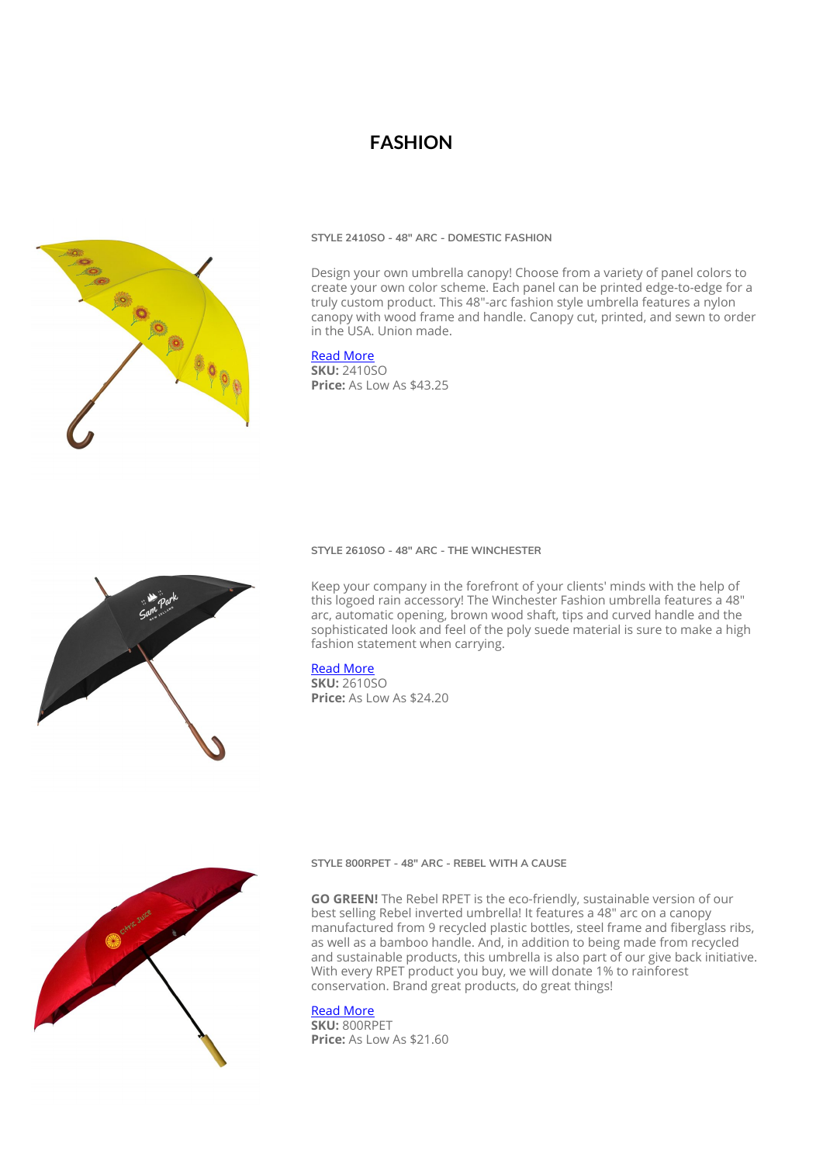# **FASHION**



#### **STYLE 2410SO - 48″ ARC - DOMESTIC FASHION**

Design your own umbrella canopy! Choose from a variety of panel colors to create your own color scheme. Each panel can be printed edge-to-edge for a truly custom product. This 48"-arc fashion style umbrella features a nylon canopy with wood frame and handle. Canopy cut, printed, and sewn to order in the USA. Union made.

# [Read More](https://www.peerlessumbrella.com/product/style-2410so/?utm_source=file&utm_medium=PDF&utm_campaign=fashion&utm_term=Style+2410SO+-+48%E2%80%B3+arc+-+Domestic+Fashion)

**SKU:** 2410SO **Price:** As Low As \$43.25

#### **STYLE 2610SO - 48″ ARC - THE WINCHESTER**

Keep your company in the forefront of your clients' minds with the help of this logoed rain accessory! The Winchester Fashion umbrella features a 48" arc, automatic opening, brown wood shaft, tips and curved handle and the sophisticated look and feel of the poly suede material is sure to make a high fashion statement when carrying.

### [Read More](https://www.peerlessumbrella.com/product/style-2610so/?utm_source=file&utm_medium=PDF&utm_campaign=fashion&utm_term=Style+2610SO+-+48%E2%80%B3+arc+-+The+Winchester)

**SKU:** 2610SO **Price:** As Low As \$24.20



**STYLE 800RPET - 48″ ARC - REBEL WITH A CAUSE**

**GO GREEN!** The Rebel RPET is the eco-friendly, sustainable version of our best selling Rebel inverted umbrella! It features a 48" arc on a canopy manufactured from 9 recycled plastic bottles, steel frame and fiberglass ribs, as well as a bamboo handle. And, in addition to being made from recycled and sustainable products, this umbrella is also part of our give back initiative. With every RPET product you buy, we will donate 1% to rainforest conservation. Brand great products, do great things!

### [Read More](https://www.peerlessumbrella.com/product/style-800rpet/?utm_source=file&utm_medium=PDF&utm_campaign=fashion&utm_term=Style+800RPET+-+48%E2%80%B3+arc+-+Rebel+With+a+Cause)

**SKU:** 800RPET **Price:** As Low As \$21.60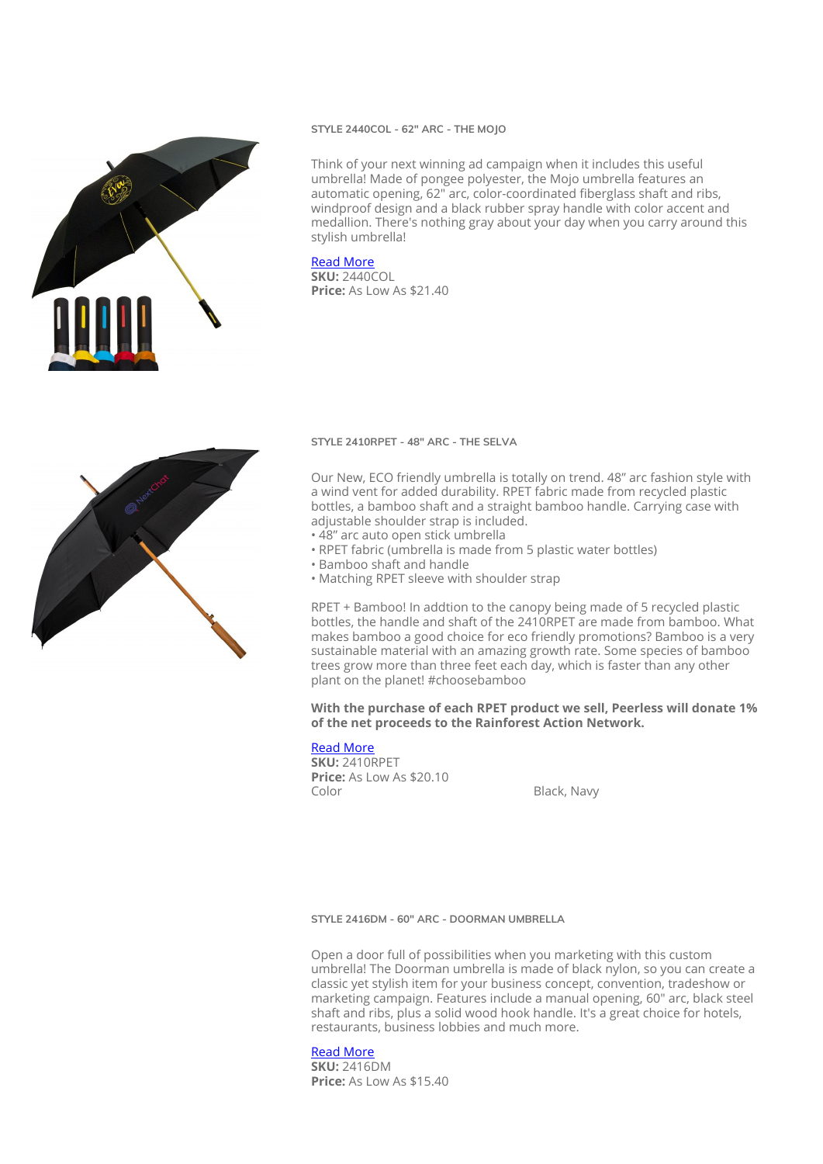### **STYLE 2440COL - 62″ ARC - THE MOJO**

Think of your next winning ad campaign when it includes this useful umbrella! Made of pongee polyester, the Mojo umbrella features an automatic opening, 62" arc, color-coordinated fiberglass shaft and ribs, windproof design and a black rubber spray handle with color accent and medallion. There's nothing gray about your day when you carry around this stylish umbrella!

### [Read More](https://www.peerlessumbrella.com/product/style-2440col/?utm_source=file&utm_medium=PDF&utm_campaign=fashion&utm_term=Style+2440COL+-+62%E2%80%B3+arc+-+The+Mojo)

**SKU:** 2440COL **Price:** As Low As \$21.40



#### **STYLE 2410RPET - 48" ARC - THE SELVA**

Our New, ECO friendly umbrella is totally on trend. 48" arc fashion style with a wind vent for added durability. RPET fabric made from recycled plastic bottles, a bamboo shaft and a straight bamboo handle. Carrying case with adjustable shoulder strap is included.

- 48" arc auto open stick umbrella
- RPET fabric (umbrella is made from 5 plastic water bottles)
- Bamboo shaft and handle
- Matching RPET sleeve with shoulder strap

RPET + Bamboo! In addtion to the canopy being made of 5 recycled plastic bottles, the handle and shaft of the 2410RPET are made from bamboo. What makes bamboo a good choice for eco friendly promotions? Bamboo is a very sustainable material with an amazing growth rate. Some species of bamboo trees grow more than three feet each day, which is faster than any other plant on the planet! #choosebamboo

**With the purchase of each RPET product we sell, Peerless will donate 1% of the net proceeds to the Rainforest Action Network.**

### [Read More](https://www.peerlessumbrella.com/product/style-2410rpet/?utm_source=file&utm_medium=PDF&utm_campaign=fashion&utm_term=Style+2410RPET+-+48%22+arc+-+The+Selva)

**SKU:** 2410RPET **Price:** As Low As \$20.10 Color Black, Navy

**STYLE 2416DM - 60″ ARC - DOORMAN UMBRELLA**

Open a door full of possibilities when you marketing with this custom umbrella! The Doorman umbrella is made of black nylon, so you can create a classic yet stylish item for your business concept, convention, tradeshow or marketing campaign. Features include a manual opening, 60" arc, black steel shaft and ribs, plus a solid wood hook handle. It's a great choice for hotels, restaurants, business lobbies and much more.

### [Read More](https://www.peerlessumbrella.com/product/style-2416dm/?utm_source=file&utm_medium=PDF&utm_campaign=fashion&utm_term=Style+2416DM+-+60%E2%80%B3+arc+-+Doorman+Umbrella)

**SKU:** 2416DM **Price:** As Low As \$15.40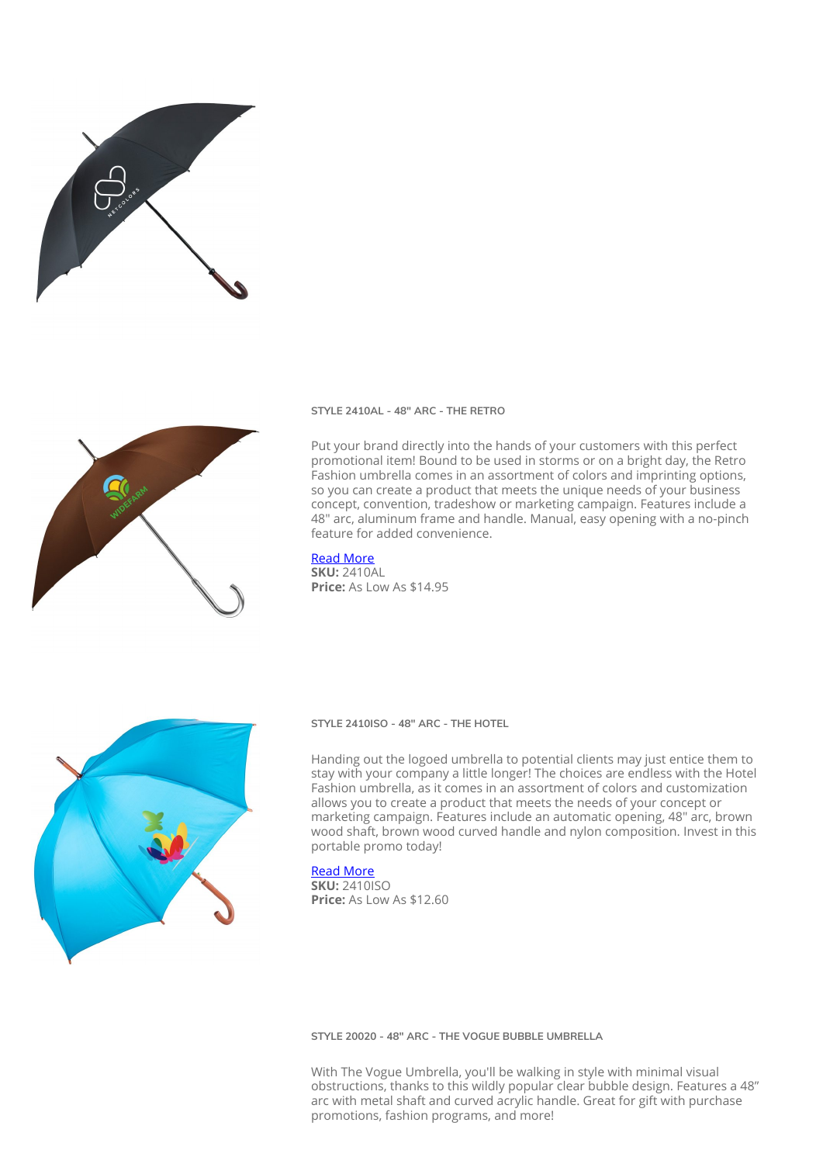



**STYLE 2410AL - 48″ ARC - THE RETRO**

Put your brand directly into the hands of your customers with this perfect promotional item! Bound to be used in storms or on a bright day, the Retro Fashion umbrella comes in an assortment of colors and imprinting options, so you can create a product that meets the unique needs of your business concept, convention, tradeshow or marketing campaign. Features include a 48" arc, aluminum frame and handle. Manual, easy opening with a no-pinch feature for added convenience.

# [Read More](https://www.peerlessumbrella.com/product/style-2410al/?utm_source=file&utm_medium=PDF&utm_campaign=fashion&utm_term=Style+2410AL+-+48%E2%80%B3+arc+-+The+Retro)

**SKU:** 2410AL **Price:** As Low As \$14.95



**STYLE 2410ISO - 48″ ARC - THE HOTEL**

Handing out the logoed umbrella to potential clients may just entice them to stay with your company a little longer! The choices are endless with the Hotel Fashion umbrella, as it comes in an assortment of colors and customization allows you to create a product that meets the needs of your concept or marketing campaign. Features include an automatic opening, 48" arc, brown wood shaft, brown wood curved handle and nylon composition. Invest in this portable promo today!

## [Read More](https://www.peerlessumbrella.com/product/style-2410iso/?utm_source=file&utm_medium=PDF&utm_campaign=fashion&utm_term=Style+2410ISO+-+48%E2%80%B3+arc+-+The+Hotel)

**SKU:** 2410ISO **Price:** As Low As \$12.60

**STYLE 20020 - 48" ARC - THE VOGUE BUBBLE UMBRELLA**

With The Vogue Umbrella, you'll be walking in style with minimal visual obstructions, thanks to this wildly popular clear bubble design. Features a 48" arc with metal shaft and curved acrylic handle. Great for gift with purchase promotions, fashion programs, and more!